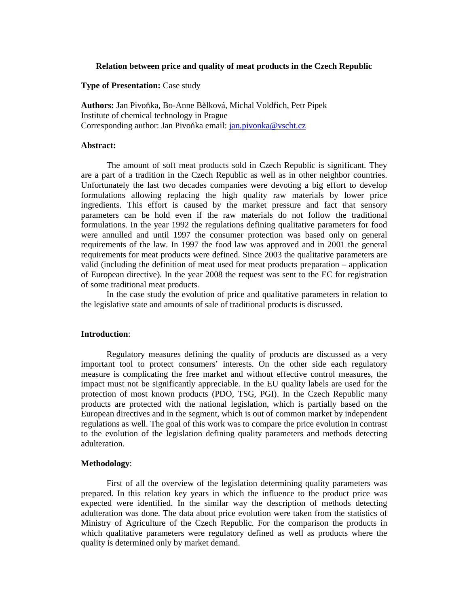### **Relation between price and quality of meat products in the Czech Republic**

# **Type of Presentation:** Case study

**Authors:** Jan Pivoňka, Bo-Anne Bělková, Michal Voldřich, Petr Pipek Institute of chemical technology in Prague Corresponding author: Jan Pivoňka email: jan.pivonka@vscht.cz

#### **Abstract:**

The amount of soft meat products sold in Czech Republic is significant. They are a part of a tradition in the Czech Republic as well as in other neighbor countries. Unfortunately the last two decades companies were devoting a big effort to develop formulations allowing replacing the high quality raw materials by lower price ingredients. This effort is caused by the market pressure and fact that sensory parameters can be hold even if the raw materials do not follow the traditional formulations. In the year 1992 the regulations defining qualitative parameters for food were annulled and until 1997 the consumer protection was based only on general requirements of the law. In 1997 the food law was approved and in 2001 the general requirements for meat products were defined. Since 2003 the qualitative parameters are valid (including the definition of meat used for meat products preparation – application of European directive). In the year 2008 the request was sent to the EC for registration of some traditional meat products.

In the case study the evolution of price and qualitative parameters in relation to the legislative state and amounts of sale of traditional products is discussed.

#### **Introduction**:

Regulatory measures defining the quality of products are discussed as a very important tool to protect consumers' interests. On the other side each regulatory measure is complicating the free market and without effective control measures, the impact must not be significantly appreciable. In the EU quality labels are used for the protection of most known products (PDO, TSG, PGI). In the Czech Republic many products are protected with the national legislation, which is partially based on the European directives and in the segment, which is out of common market by independent regulations as well. The goal of this work was to compare the price evolution in contrast to the evolution of the legislation defining quality parameters and methods detecting adulteration.

### **Methodology**:

First of all the overview of the legislation determining quality parameters was prepared. In this relation key years in which the influence to the product price was expected were identified. In the similar way the description of methods detecting adulteration was done. The data about price evolution were taken from the statistics of Ministry of Agriculture of the Czech Republic. For the comparison the products in which qualitative parameters were regulatory defined as well as products where the quality is determined only by market demand.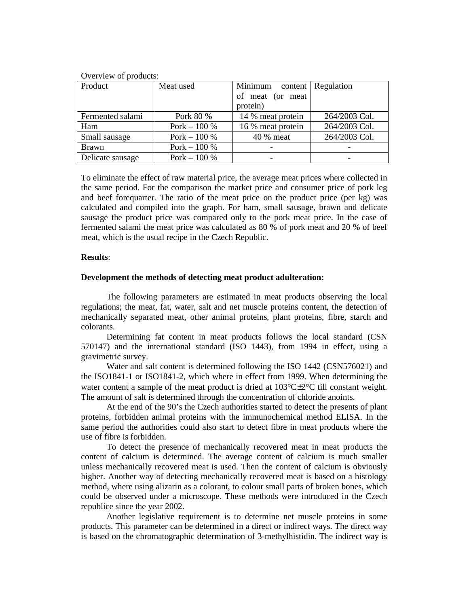| Overview of products: |               |                   |                      |
|-----------------------|---------------|-------------------|----------------------|
| Product               | Meat used     | Minimum           | content   Regulation |
|                       |               | of meat (or meat  |                      |
|                       |               | protein)          |                      |
| Fermented salami      | Pork 80 %     | 14 % meat protein | 264/2003 Col.        |
| Ham                   | Pork $-100\%$ | 16 % meat protein | 264/2003 Col.        |
| Small sausage         | Pork $-100%$  | 40 % meat         | 264/2003 Col.        |
| <b>Brawn</b>          | Pork $-100%$  |                   |                      |
| Delicate sausage      | Pork $-100%$  |                   |                      |

To eliminate the effect of raw material price, the average meat prices where collected in the same period. For the comparison the market price and consumer price of pork leg and beef forequarter. The ratio of the meat price on the product price (per kg) was calculated and compiled into the graph. For ham, small sausage, brawn and delicate sausage the product price was compared only to the pork meat price. In the case of fermented salami the meat price was calculated as 80 % of pork meat and 20 % of beef

# **Results**:

# **Development the methods of detecting meat product adulteration:**

meat, which is the usual recipe in the Czech Republic.

The following parameters are estimated in meat products observing the local regulations; the meat, fat, water, salt and net muscle proteins content, the detection of mechanically separated meat, other animal proteins, plant proteins, fibre, starch and colorants.

Determining fat content in meat products follows the local standard (CSN 570147) and the international standard (ISO 1443), from 1994 in effect, using a gravimetric survey.

Water and salt content is determined following the ISO 1442 (CSN576021) and the ISO1841-1 or ISO1841-2, which where in effect from 1999. When determining the water content a sample of the meat product is dried at  $103^{\circ}C\pm2^{\circ}C$  till constant weight. The amount of salt is determined through the concentration of chloride anoints.

At the end of the 90's the Czech authorities started to detect the presents of plant proteins, forbidden animal proteins with the immunochemical method ELISA. In the same period the authorities could also start to detect fibre in meat products where the use of fibre is forbidden.

To detect the presence of mechanically recovered meat in meat products the content of calcium is determined. The average content of calcium is much smaller unless mechanically recovered meat is used. Then the content of calcium is obviously higher. Another way of detecting mechanically recovered meat is based on a histology method, where using alizarin as a colorant, to colour small parts of broken bones, which could be observed under a microscope. These methods were introduced in the Czech republice since the year 2002.

Another legislative requirement is to determine net muscle proteins in some products. This parameter can be determined in a direct or indirect ways. The direct way is based on the chromatographic determination of 3-methylhistidin. The indirect way is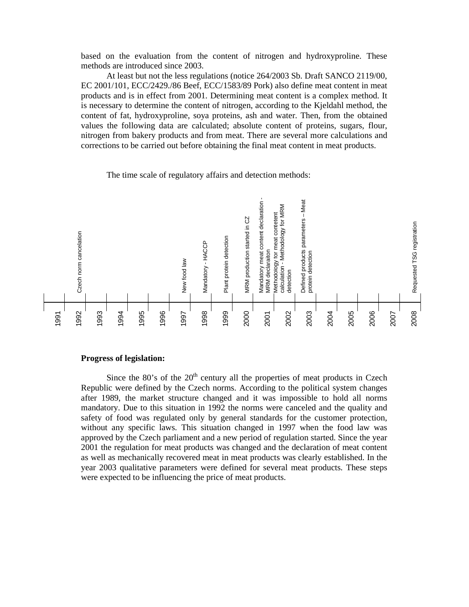based on the evaluation from the content of nitrogen and hydroxyproline. These methods are introduced since 2003.

At least but not the less regulations (notice 264/2003 Sb. Draft SANCO 2119/00, EC 2001/101, ECC/2429./86 Beef, ECC/1583/89 Pork) also define meat content in meat products and is in effect from 2001. Determining meat content is a complex method. It is necessary to determine the content of nitrogen, according to the Kjeldahl method, the content of fat, hydroxyproline, soya proteins, ash and water. Then, from the obtained values the following data are calculated; absolute content of proteins, sugars, flour, nitrogen from bakery products and from meat. There are several more calculations and corrections to be carried out before obtaining the final meat content in meat products.

The time scale of regulatory affairs and detection methods:



# **Progress of legislation:**

Since the  $80$ 's of the  $20<sup>th</sup>$  century all the properties of meat products in Czech Republic were defined by the Czech norms. According to the political system changes after 1989, the market structure changed and it was impossible to hold all norms mandatory. Due to this situation in 1992 the norms were canceled and the quality and safety of food was regulated only by general standards for the customer protection, without any specific laws. This situation changed in 1997 when the food law was approved by the Czech parliament and a new period of regulation started. Since the year 2001 the regulation for meat products was changed and the declaration of meat content as well as mechanically recovered meat in meat products was clearly established. In the year 2003 qualitative parameters were defined for several meat products. These steps were expected to be influencing the price of meat products.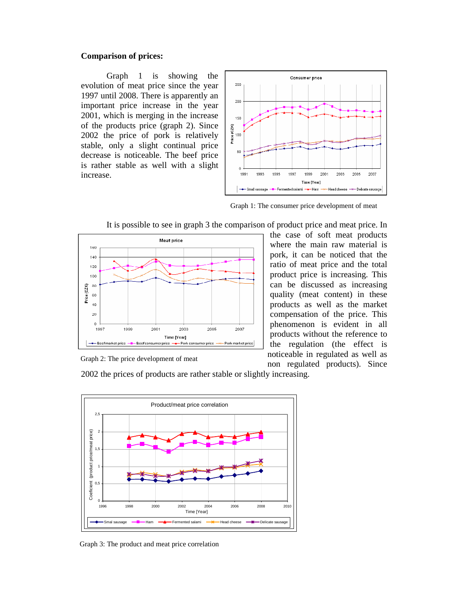# **Comparison of prices:**

Graph 1 is showing the evolution of meat price since the year 1997 until 2008. There is apparently an important price increase in the year 2001, which is merging in the increase of the products price (graph 2). Since 2002 the price of pork is relatively stable, only a slight continual price decrease is noticeable. The beef price is rather stable as well with a slight increase.



Graph 1: The consumer price development of meat



It is possible to see in graph 3 the comparison of product price and meat price. In

the case of soft meat products where the main raw material is pork, it can be noticed that the ratio of meat price and the total product price is increasing. This can be discussed as increasing quality (meat content) in these products as well as the market compensation of the price. This phenomenon is evident in all products without the reference to the regulation (the effect is noticeable in regulated as well as non regulated products). Since

Graph 2: The price development of meat

2002 the prices of products are rather stable or slightly increasing.



Graph 3: The product and meat price correlation